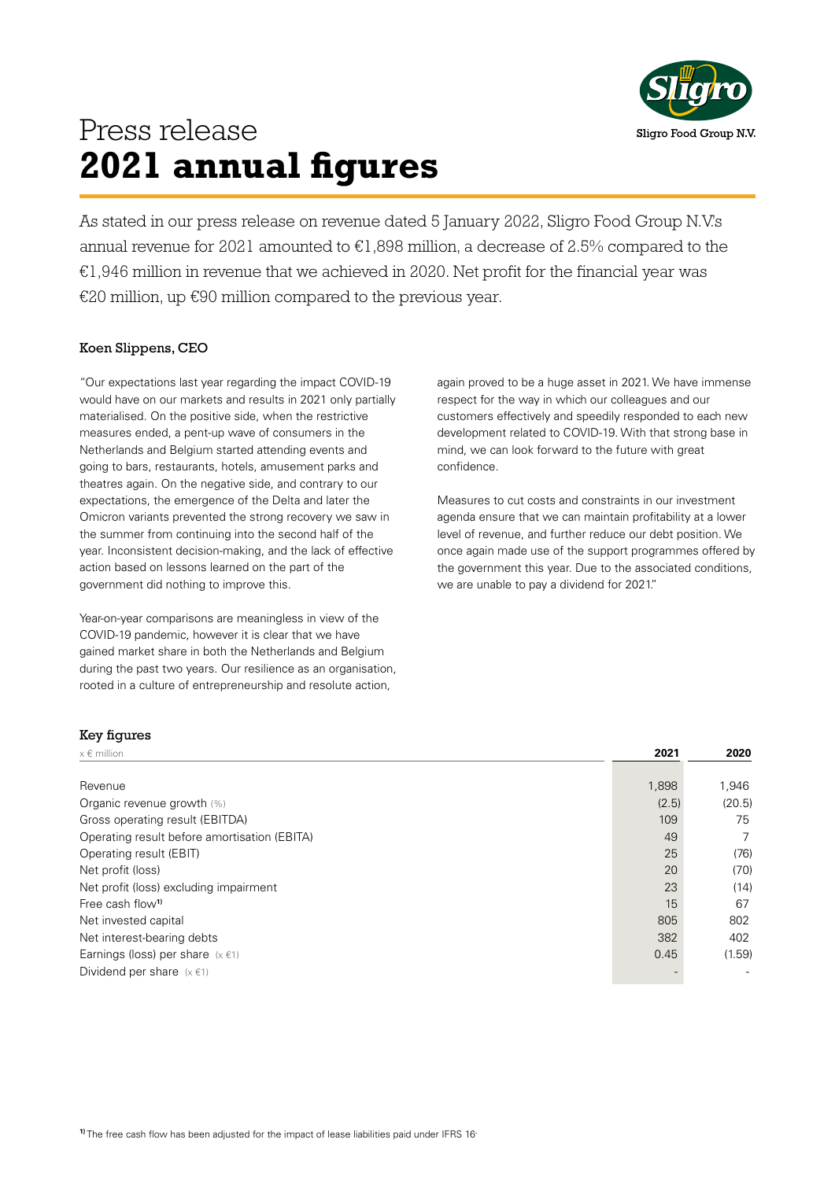

### Press release **2021 annual figures**

As stated in our press release on revenue dated 5 January 2022, Sligro Food Group N.V.'s annual revenue for 2021 amounted to  $E1,898$  million, a decrease of 2.5% compared to the  $E1,946$  million in revenue that we achieved in 2020. Net profit for the financial year was €20 million, up €90 million compared to the previous year.

### Koen Slippens, CEO

"Our expectations last year regarding the impact COVID-19 would have on our markets and results in 2021 only partially materialised. On the positive side, when the restrictive measures ended, a pent-up wave of consumers in the Netherlands and Belgium started attending events and going to bars, restaurants, hotels, amusement parks and theatres again. On the negative side, and contrary to our expectations, the emergence of the Delta and later the Omicron variants prevented the strong recovery we saw in the summer from continuing into the second half of the year. Inconsistent decision-making, and the lack of effective action based on lessons learned on the part of the government did nothing to improve this.

Year-on-year comparisons are meaningless in view of the COVID-19 pandemic, however it is clear that we have gained market share in both the Netherlands and Belgium during the past two years. Our resilience as an organisation, rooted in a culture of entrepreneurship and resolute action,

again proved to be a huge asset in 2021. We have immense respect for the way in which our colleagues and our customers effectively and speedily responded to each new development related to COVID-19. With that strong base in mind, we can look forward to the future with great confidence.

Measures to cut costs and constraints in our investment agenda ensure that we can maintain profitability at a lower level of revenue, and further reduce our debt position. We once again made use of the support programmes offered by the government this year. Due to the associated conditions, we are unable to pay a dividend for 2021."

#### Key figures

| $x \in$ million                              | 2021  | 2020   |
|----------------------------------------------|-------|--------|
|                                              |       |        |
| Revenue                                      | 1,898 | 1,946  |
| Organic revenue growth (%)                   | (2.5) | (20.5) |
| Gross operating result (EBITDA)              | 109   | 75     |
| Operating result before amortisation (EBITA) | 49    | 7      |
| Operating result (EBIT)                      | 25    | (76)   |
| Net profit (loss)                            | 20    | (70)   |
| Net profit (loss) excluding impairment       | 23    | (14)   |
| Free cash flow <sup>1)</sup>                 | 15    | 67     |
| Net invested capital                         | 805   | 802    |
| Net interest-bearing debts                   | 382   | 402    |
| Earnings (loss) per share $(x \in 1)$        | 0.45  | (1.59) |
| Dividend per share $(x \in 1)$               |       |        |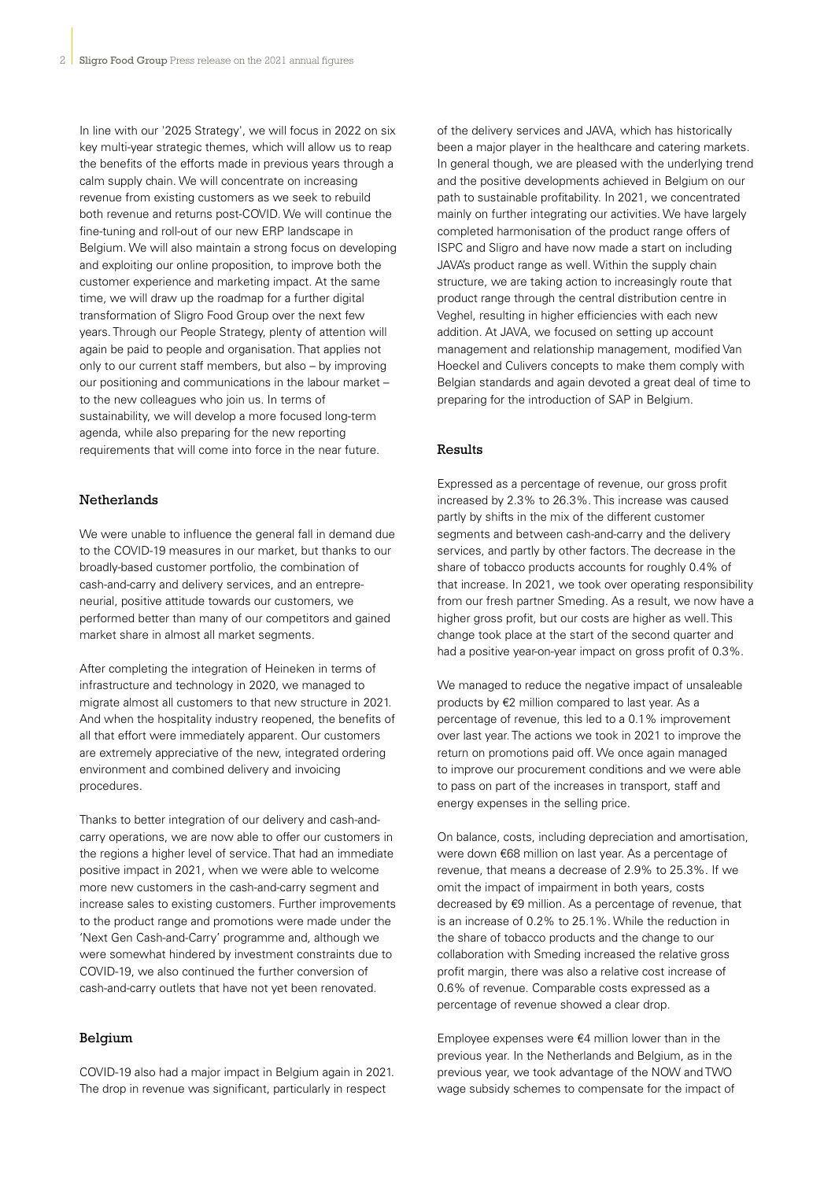In line with our '2025 Strategy', we will focus in 2022 on six key multi-year strategic themes, which will allow us to reap the benefits of the efforts made in previous years through a calm supply chain. We will concentrate on increasing revenue from existing customers as we seek to rebuild both revenue and returns post-COVID. We will continue the fine-tuning and roll-out of our new ERP landscape in Belgium. We will also maintain a strong focus on developing and exploiting our online proposition, to improve both the customer experience and marketing impact. At the same time, we will draw up the roadmap for a further digital transformation of Sligro Food Group over the next few years. Through our People Strategy, plenty of attention will again be paid to people and organisation. That applies not only to our current staff members, but also – by improving our positioning and communications in the labour market – to the new colleagues who join us. In terms of sustainability, we will develop a more focused long-term agenda, while also preparing for the new reporting requirements that will come into force in the near future.

#### Netherlands

We were unable to influence the general fall in demand due to the COVID-19 measures in our market, but thanks to our broadly-based customer portfolio, the combination of cash-and-carry and delivery services, and an entrepreneurial, positive attitude towards our customers, we performed better than many of our competitors and gained market share in almost all market segments.

After completing the integration of Heineken in terms of infrastructure and technology in 2020, we managed to migrate almost all customers to that new structure in 2021. And when the hospitality industry reopened, the benefits of all that effort were immediately apparent. Our customers are extremely appreciative of the new, integrated ordering environment and combined delivery and invoicing procedures.

Thanks to better integration of our delivery and cash-andcarry operations, we are now able to offer our customers in the regions a higher level of service. That had an immediate positive impact in 2021, when we were able to welcome more new customers in the cash-and-carry segment and increase sales to existing customers. Further improvements to the product range and promotions were made under the 'Next Gen Cash-and-Carry' programme and, although we were somewhat hindered by investment constraints due to COVID-19, we also continued the further conversion of cash-and-carry outlets that have not yet been renovated.

#### Belgium

COVID-19 also had a major impact in Belgium again in 2021. The drop in revenue was significant, particularly in respect

of the delivery services and JAVA, which has historically been a major player in the healthcare and catering markets. In general though, we are pleased with the underlying trend and the positive developments achieved in Belgium on our path to sustainable profitability. In 2021, we concentrated mainly on further integrating our activities. We have largely completed harmonisation of the product range offers of ISPC and Sligro and have now made a start on including JAVA's product range as well. Within the supply chain structure, we are taking action to increasingly route that product range through the central distribution centre in Veghel, resulting in higher efficiencies with each new addition. At JAVA, we focused on setting up account management and relationship management, modified Van Hoeckel and Culivers concepts to make them comply with Belgian standards and again devoted a great deal of time to preparing for the introduction of SAP in Belgium.

#### Results

Expressed as a percentage of revenue, our gross profit increased by 2.3% to 26.3%. This increase was caused partly by shifts in the mix of the different customer segments and between cash-and-carry and the delivery services, and partly by other factors. The decrease in the share of tobacco products accounts for roughly 0.4% of that increase. In 2021, we took over operating responsibility from our fresh partner Smeding. As a result, we now have a higher gross profit, but our costs are higher as well. This change took place at the start of the second quarter and had a positive year-on-year impact on gross profit of 0.3%.

We managed to reduce the negative impact of unsaleable products by €2 million compared to last year. As a percentage of revenue, this led to a 0.1% improvement over last year. The actions we took in 2021 to improve the return on promotions paid off. We once again managed to improve our procurement conditions and we were able to pass on part of the increases in transport, staff and energy expenses in the selling price.

On balance, costs, including depreciation and amortisation, were down €68 million on last year. As a percentage of revenue, that means a decrease of 2.9% to 25.3%. If we omit the impact of impairment in both years, costs decreased by €9 million. As a percentage of revenue, that is an increase of 0.2% to 25.1%. While the reduction in the share of tobacco products and the change to our collaboration with Smeding increased the relative gross profit margin, there was also a relative cost increase of 0.6% of revenue. Comparable costs expressed as a percentage of revenue showed a clear drop.

Employee expenses were €4 million lower than in the previous year. In the Netherlands and Belgium, as in the previous year, we took advantage of the NOW and TWO wage subsidy schemes to compensate for the impact of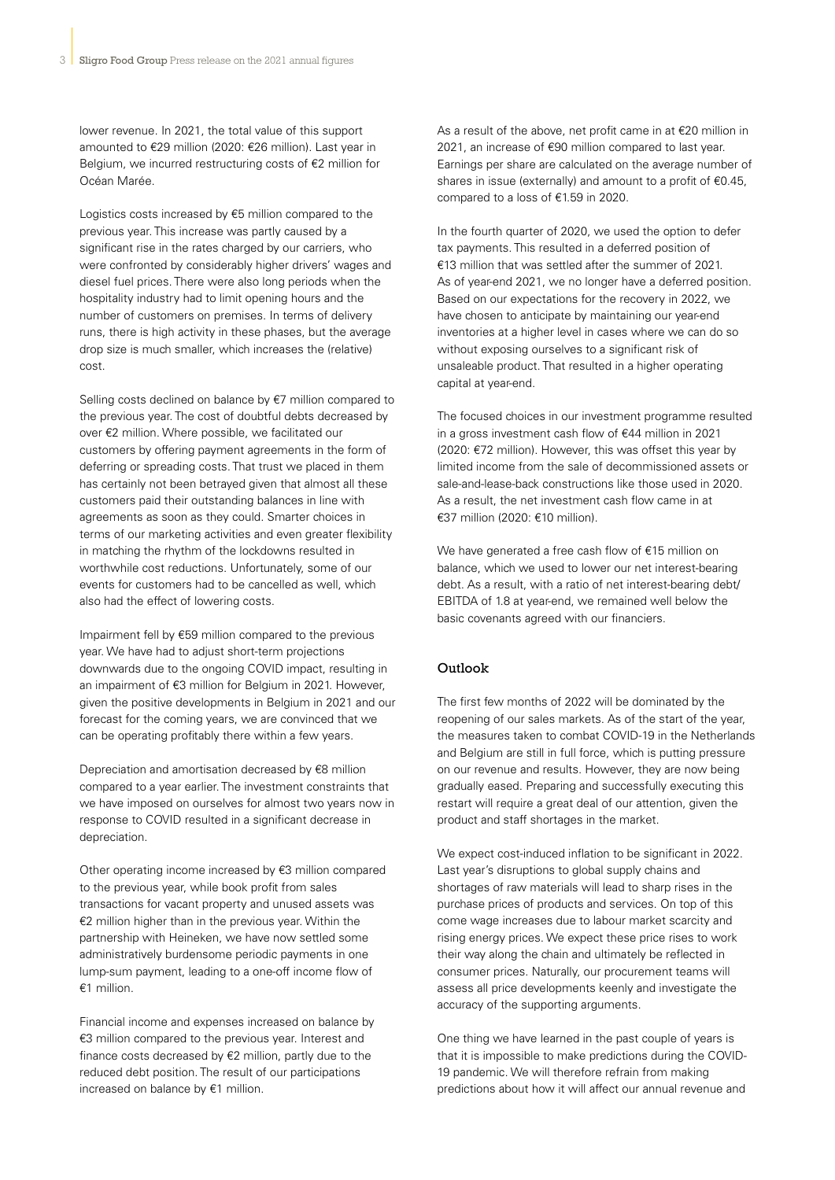lower revenue. In 2021, the total value of this support amounted to €29 million (2020: €26 million). Last year in Belgium, we incurred restructuring costs of €2 million for Océan Marée.

Logistics costs increased by €5 million compared to the previous year. This increase was partly caused by a significant rise in the rates charged by our carriers, who were confronted by considerably higher drivers' wages and diesel fuel prices. There were also long periods when the hospitality industry had to limit opening hours and the number of customers on premises. In terms of delivery runs, there is high activity in these phases, but the average drop size is much smaller, which increases the (relative) cost.

Selling costs declined on balance by €7 million compared to the previous year. The cost of doubtful debts decreased by over €2 million. Where possible, we facilitated our customers by offering payment agreements in the form of deferring or spreading costs. That trust we placed in them has certainly not been betrayed given that almost all these customers paid their outstanding balances in line with agreements as soon as they could. Smarter choices in terms of our marketing activities and even greater flexibility in matching the rhythm of the lockdowns resulted in worthwhile cost reductions. Unfortunately, some of our events for customers had to be cancelled as well, which also had the effect of lowering costs.

Impairment fell by €59 million compared to the previous year. We have had to adjust short-term projections downwards due to the ongoing COVID impact, resulting in an impairment of €3 million for Belgium in 2021. However, given the positive developments in Belgium in 2021 and our forecast for the coming years, we are convinced that we can be operating profitably there within a few years.

Depreciation and amortisation decreased by €8 million compared to a year earlier. The investment constraints that we have imposed on ourselves for almost two years now in response to COVID resulted in a significant decrease in depreciation.

Other operating income increased by €3 million compared to the previous year, while book profit from sales transactions for vacant property and unused assets was €2 million higher than in the previous year. Within the partnership with Heineken, we have now settled some administratively burdensome periodic payments in one lump-sum payment, leading to a one-off income flow of  $€1$  million

Financial income and expenses increased on balance by €3 million compared to the previous year. Interest and finance costs decreased by €2 million, partly due to the reduced debt position. The result of our participations increased on balance by €1 million.

As a result of the above, net profit came in at €20 million in 2021, an increase of €90 million compared to last year. Earnings per share are calculated on the average number of shares in issue (externally) and amount to a profit of €0.45, compared to a loss of €1.59 in 2020.

In the fourth quarter of 2020, we used the option to defer tax payments. This resulted in a deferred position of €13 million that was settled after the summer of 2021. As of year-end 2021, we no longer have a deferred position. Based on our expectations for the recovery in 2022, we have chosen to anticipate by maintaining our year-end inventories at a higher level in cases where we can do so without exposing ourselves to a significant risk of unsaleable product. That resulted in a higher operating capital at year-end.

The focused choices in our investment programme resulted in a gross investment cash flow of €44 million in 2021 (2020: €72 million). However, this was offset this year by limited income from the sale of decommissioned assets or sale-and-lease-back constructions like those used in 2020. As a result, the net investment cash flow came in at  $€37$  million (2020;  $€10$  million)

We have generated a free cash flow of €15 million on balance, which we used to lower our net interest-bearing debt. As a result, with a ratio of net interest-bearing debt/ EBITDA of 1.8 at year-end, we remained well below the basic covenants agreed with our financiers.

#### Outlook

The first few months of 2022 will be dominated by the reopening of our sales markets. As of the start of the year, the measures taken to combat COVID-19 in the Netherlands and Belgium are still in full force, which is putting pressure on our revenue and results. However, they are now being gradually eased. Preparing and successfully executing this restart will require a great deal of our attention, given the product and staff shortages in the market.

We expect cost-induced inflation to be significant in 2022. Last year's disruptions to global supply chains and shortages of raw materials will lead to sharp rises in the purchase prices of products and services. On top of this come wage increases due to labour market scarcity and rising energy prices. We expect these price rises to work their way along the chain and ultimately be reflected in consumer prices. Naturally, our procurement teams will assess all price developments keenly and investigate the accuracy of the supporting arguments.

One thing we have learned in the past couple of years is that it is impossible to make predictions during the COVID-19 pandemic. We will therefore refrain from making predictions about how it will affect our annual revenue and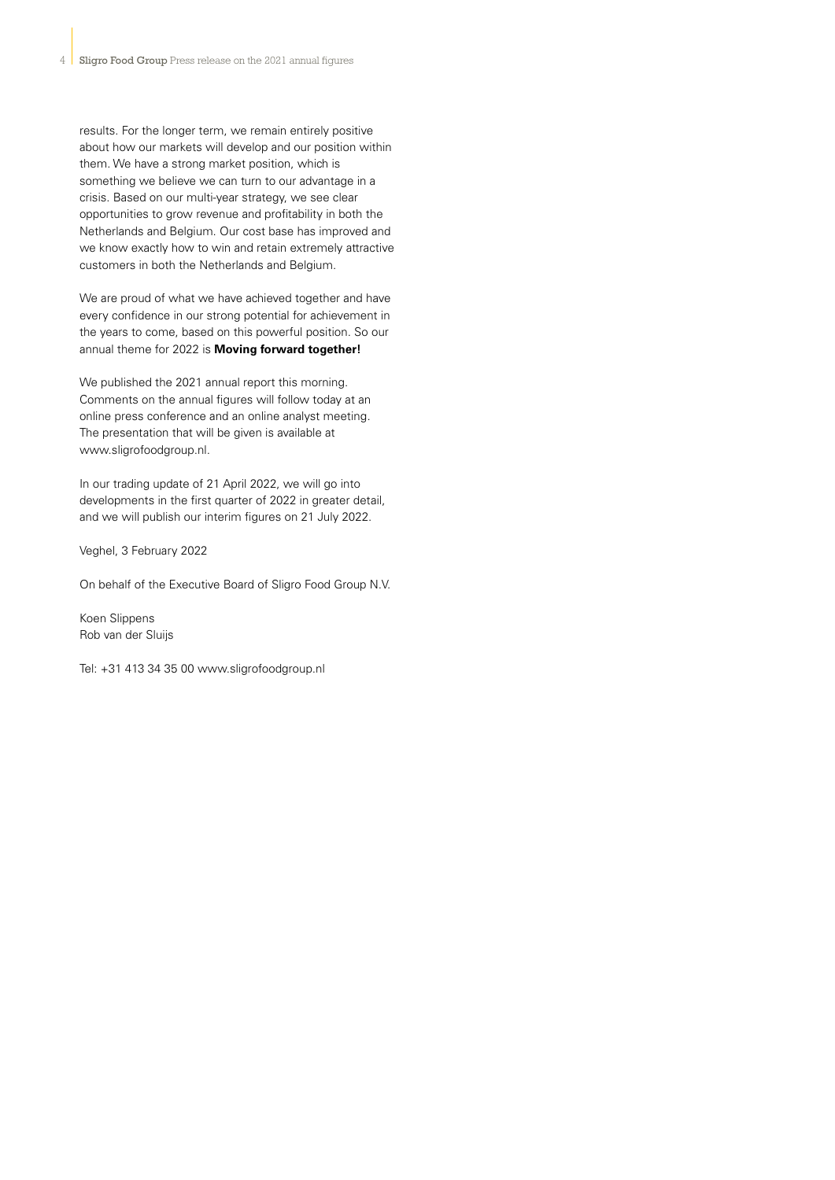results. For the longer term, we remain entirely positive about how our markets will develop and our position within them. We have a strong market position, which is something we believe we can turn to our advantage in a crisis. Based on our multi-year strategy, we see clear opportunities to grow revenue and profitability in both the Netherlands and Belgium. Our cost base has improved and we know exactly how to win and retain extremely attractive customers in both the Netherlands and Belgium.

We are proud of what we have achieved together and have every confidence in our strong potential for achievement in the years to come, based on this powerful position. So our annual theme for 2022 is **Moving forward together!**

We published the 2021 annual report this morning. Comments on the annual figures will follow today at an online press conference and an online analyst meeting. The presentation that will be given is available at www.sligrofoodgroup.nl.

In our trading update of 21 April 2022, we will go into developments in the first quarter of 2022 in greater detail, and we will publish our interim figures on 21 July 2022.

Veghel, 3 February 2022

On behalf of the Executive Board of Sligro Food Group N.V.

Koen Slippens Rob van der Sluijs

Tel: +31 413 34 35 00 www.sligrofoodgroup.nl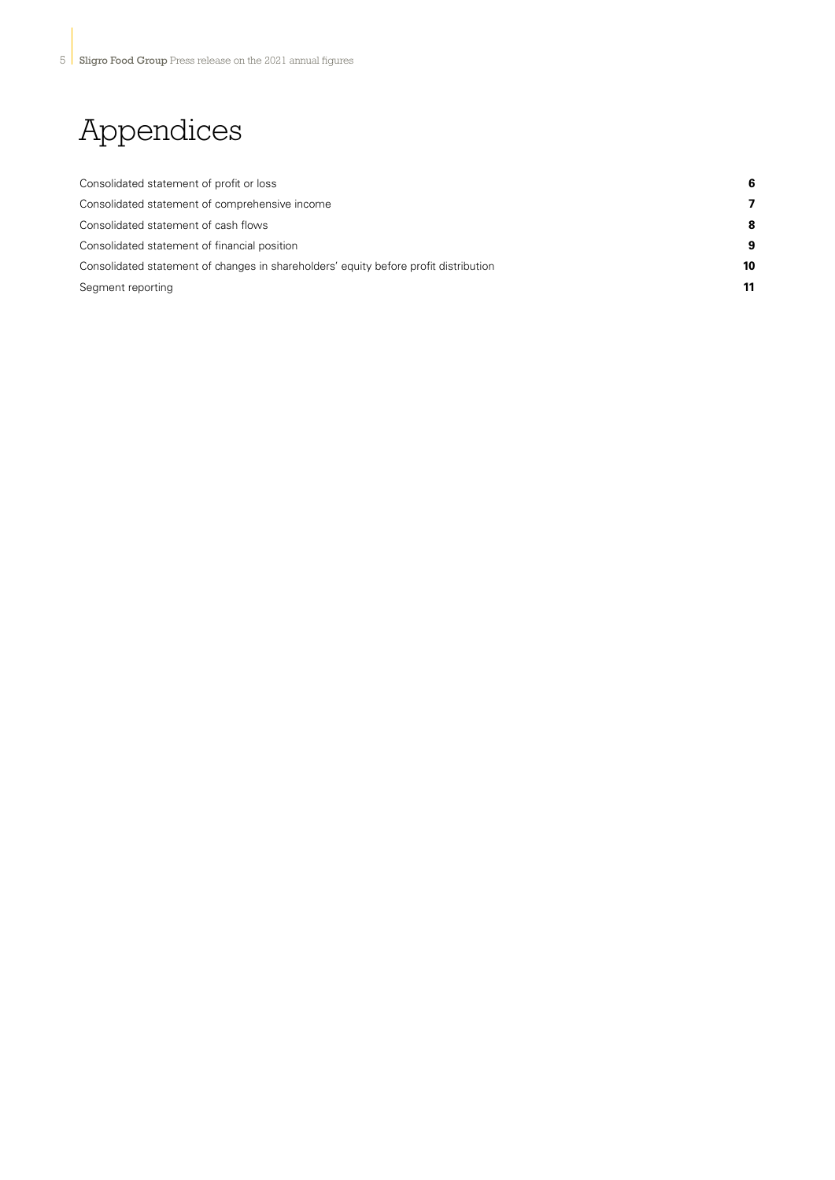# Appendices

| Consolidated statement of profit or loss                                             |    |
|--------------------------------------------------------------------------------------|----|
| Consolidated statement of comprehensive income                                       |    |
| Consolidated statement of cash flows                                                 | 8  |
| Consolidated statement of financial position                                         | 9  |
| Consolidated statement of changes in shareholders' equity before profit distribution | 10 |
| Segment reporting                                                                    | 11 |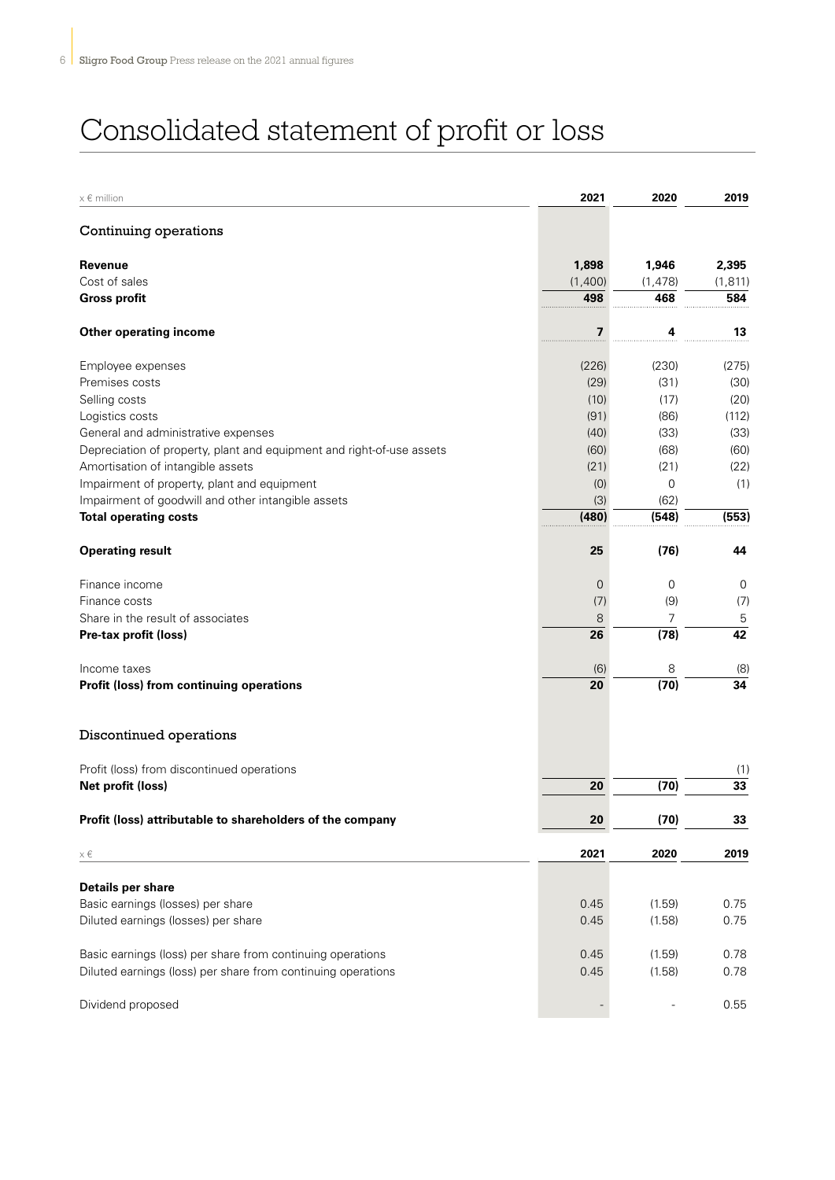# Consolidated statement of profit or loss

| $x \in$ million                                                       | 2021           | 2020      | 2019      |
|-----------------------------------------------------------------------|----------------|-----------|-----------|
| Continuing operations                                                 |                |           |           |
| Revenue                                                               | 1,898          | 1,946     | 2,395     |
| Cost of sales                                                         | (1,400)        | (1, 478)  | (1, 811)  |
| <b>Gross profit</b>                                                   | 498            | 468       | 584       |
| <b>Other operating income</b>                                         | 7              | 4         | 13        |
| Employee expenses                                                     | (226)          | (230)     | (275)     |
| Premises costs                                                        | (29)           | (31)      | (30)      |
| Selling costs                                                         | (10)           | (17)      | (20)      |
| Logistics costs                                                       | (91)           | (86)      | (112)     |
| General and administrative expenses                                   | (40)           | (33)      | (33)      |
| Depreciation of property, plant and equipment and right-of-use assets | (60)           | (68)      | (60)      |
| Amortisation of intangible assets                                     | (21)           | (21)      | (22)      |
| Impairment of property, plant and equipment                           | (0)            | 0         | (1)       |
| Impairment of goodwill and other intangible assets                    | (3)            | (62)      |           |
| <b>Total operating costs</b>                                          | (480)          | (548)     | (553)     |
| <b>Operating result</b>                                               | 25             | (76)      | 44        |
| Finance income                                                        | $\overline{0}$ | 0         | 0         |
| Finance costs                                                         | (7)            | (9)       | (7)       |
| Share in the result of associates                                     | 8              | 7         | 5         |
| Pre-tax profit (loss)                                                 | 26             | (78)      | 42        |
|                                                                       |                |           |           |
| Income taxes<br>Profit (loss) from continuing operations              | (6)<br>20      | 8<br>(70) | (8)<br>34 |
|                                                                       |                |           |           |
| Discontinued operations                                               |                |           |           |
| Profit (loss) from discontinued operations                            |                |           | (1)       |
| Net profit (loss)                                                     | 20             | (70)      | 33        |
| Profit (loss) attributable to shareholders of the company             | 20             | (70)      | 33        |
| $\times \in$                                                          | 2021           | 2020      | 2019      |
| Details per share                                                     |                |           |           |
| Basic earnings (losses) per share                                     | 0.45           | (1.59)    | 0.75      |
| Diluted earnings (losses) per share                                   | 0.45           | (1.58)    | 0.75      |
|                                                                       |                |           |           |
| Basic earnings (loss) per share from continuing operations            | 0.45           | (1.59)    | 0.78      |
| Diluted earnings (loss) per share from continuing operations          | 0.45           | (1.58)    | 0.78      |
| Dividend proposed                                                     |                |           | 0.55      |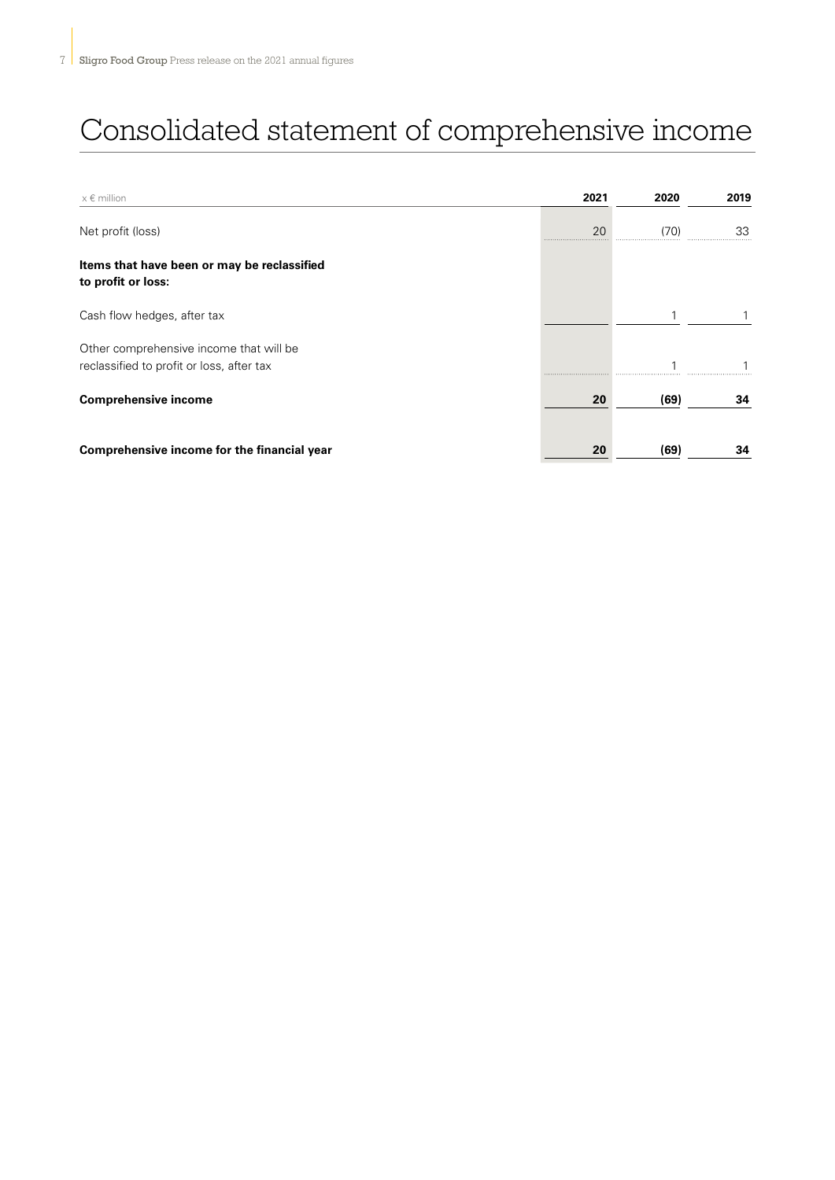# Consolidated statement of comprehensive income

| $x \in$ million                                                                      | 2021 | 2020 | 2019 |
|--------------------------------------------------------------------------------------|------|------|------|
| Net profit (loss)                                                                    | 20   | (70) | 33   |
| Items that have been or may be reclassified<br>to profit or loss:                    |      |      |      |
| Cash flow hedges, after tax                                                          |      |      |      |
| Other comprehensive income that will be<br>reclassified to profit or loss, after tax |      |      |      |
| <b>Comprehensive income</b>                                                          | 20   | (69) | 34   |
| Comprehensive income for the financial year                                          | 20   | (69) | 34   |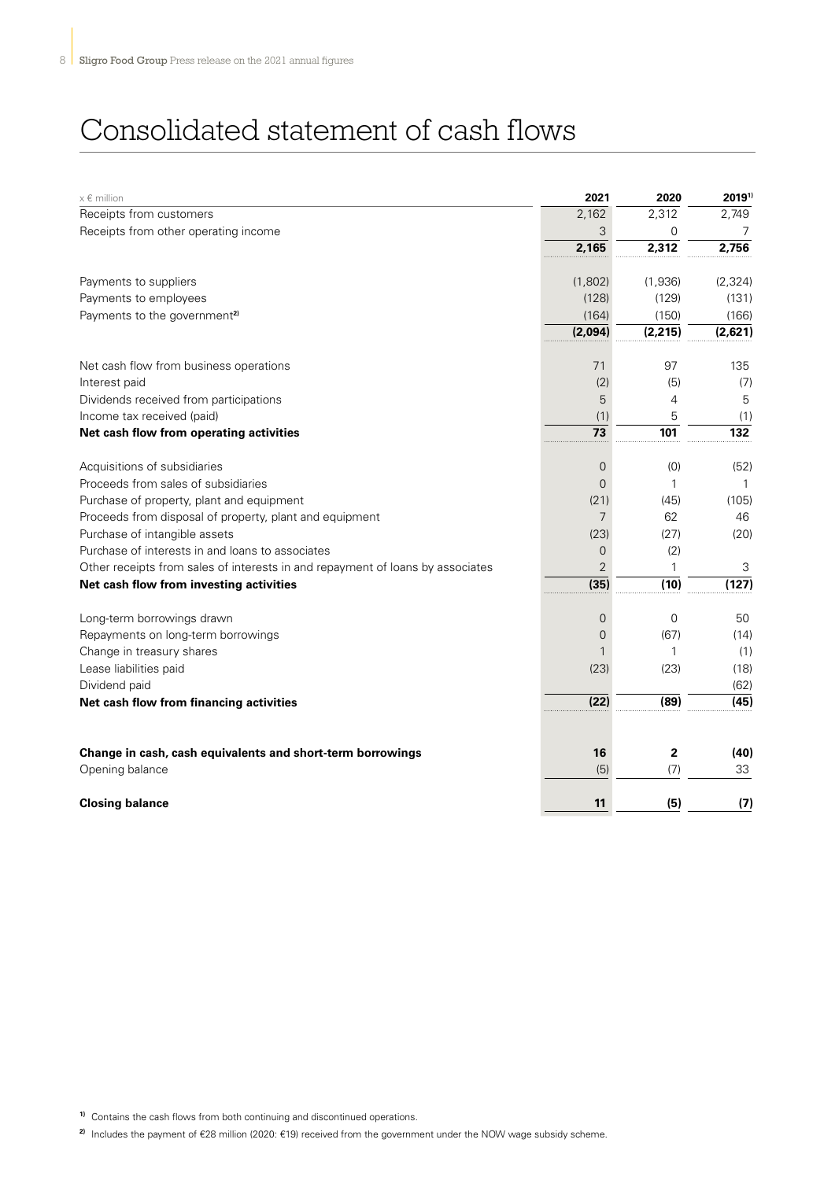### Consolidated statement of cash flows

| $x \in$ million                                                                | 2021           | 2020         | 20191)     |
|--------------------------------------------------------------------------------|----------------|--------------|------------|
| Receipts from customers                                                        | 2,162          | 2,312        | 2,749      |
| Receipts from other operating income                                           | 3              | $\Omega$     | $\sqrt{2}$ |
|                                                                                | 2,165          | 2,312        | 2,756      |
| Payments to suppliers                                                          | (1,802)        | (1,936)      | (2,324)    |
| Payments to employees                                                          | (128)          | (129)        | (131)      |
| Payments to the government <sup>2)</sup>                                       | (164)          | (150)        | (166)      |
|                                                                                | (2,094)        | (2, 215)     | (2,621)    |
| Net cash flow from business operations                                         | 71             | 97           | 135        |
| Interest paid                                                                  | (2)            | (5)          | (7)        |
| Dividends received from participations                                         | 5              | 4            | 5          |
| Income tax received (paid)                                                     | (1)            | 5            | (1)        |
| Net cash flow from operating activities                                        | 73             | 101          | 132        |
| Acquisitions of subsidiaries                                                   | $\overline{0}$ | (0)          | (52)       |
| Proceeds from sales of subsidiaries                                            | $\Omega$       | 1            | 1          |
| Purchase of property, plant and equipment                                      | (21)           | (45)         | (105)      |
| Proceeds from disposal of property, plant and equipment                        | $\overline{7}$ | 62           | 46         |
| Purchase of intangible assets                                                  | (23)           | (27)         | (20)       |
| Purchase of interests in and loans to associates                               | $\Omega$       | (2)          |            |
| Other receipts from sales of interests in and repayment of loans by associates | $\overline{2}$ |              | 3          |
| Net cash flow from investing activities                                        | (35)           | (10)         | (127)      |
| Long-term borrowings drawn                                                     | $\overline{0}$ | $\Omega$     | 50         |
| Repayments on long-term borrowings                                             | $\overline{0}$ | (67)         | (14)       |
| Change in treasury shares                                                      |                | 1            | (1)        |
| Lease liabilities paid                                                         | (23)           | (23)         | (18)       |
| Dividend paid                                                                  |                |              | (62)       |
| Net cash flow from financing activities                                        | (22)           | (89)         | (45)       |
|                                                                                |                |              |            |
| Change in cash, cash equivalents and short-term borrowings                     | 16             | $\mathbf{2}$ | (40)       |
| Opening balance                                                                | (5)            | (7)          | 33         |
| <b>Closing balance</b>                                                         | 11             | (5)          | (7)        |

**1)** Contains the cash flows from both continuing and discontinued operations.

**2)** Includes the payment of €28 million (2020: €19) received from the government under the NOW wage subsidy scheme.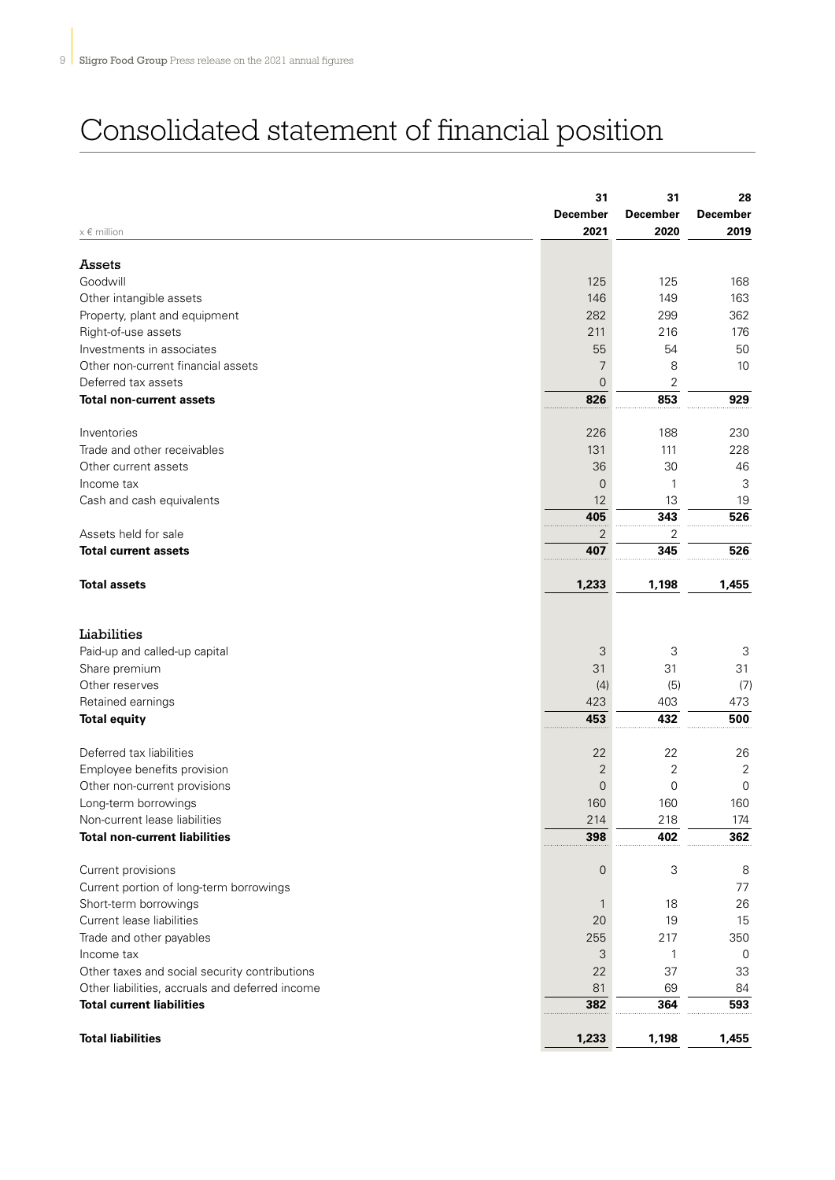# Consolidated statement of financial position

| $x \in$ million                                 | 31<br><b>December</b><br>2021 | 31<br><b>December</b><br>2020 | 28<br><b>December</b><br>2019 |
|-------------------------------------------------|-------------------------------|-------------------------------|-------------------------------|
|                                                 |                               |                               |                               |
| Assets                                          |                               |                               |                               |
| Goodwill                                        | 125                           | 125                           | 168                           |
| Other intangible assets                         | 146                           | 149                           | 163                           |
| Property, plant and equipment                   | 282                           | 299                           | 362                           |
| Right-of-use assets                             | 211                           | 216                           | 176                           |
| Investments in associates                       | 55                            | 54                            | 50                            |
| Other non-current financial assets              | 7                             | 8                             | 10                            |
| Deferred tax assets                             | 0                             | 2                             |                               |
| <b>Total non-current assets</b>                 | 826                           | 853                           | 929                           |
| Inventories                                     | 226                           | 188                           | 230                           |
| Trade and other receivables                     | 131                           | 111                           | 228                           |
| Other current assets                            | 36                            | 30                            | 46                            |
| Income tax                                      | 0                             | 1                             | 3                             |
| Cash and cash equivalents                       | 12                            | 13                            | 19                            |
|                                                 | 405                           | 343                           | 526                           |
| Assets held for sale                            | 2                             | 2                             |                               |
| <b>Total current assets</b>                     | 407                           | 345                           | 526                           |
| <b>Total assets</b>                             | 1,233                         | 1,198                         | 1,455                         |
| Liabilities                                     |                               |                               |                               |
| Paid-up and called-up capital                   | 3                             | 3                             | 3                             |
| Share premium                                   | 31                            | 31                            | 31                            |
| Other reserves                                  | (4)                           | (5)                           | (7)                           |
| Retained earnings                               | 423                           | 403                           | 473                           |
| <b>Total equity</b>                             | 453                           | 432                           | 500                           |
| Deferred tax liabilities                        | 22                            | 22                            | 26                            |
| Employee benefits provision                     | 2                             | 2                             | 2                             |
| Other non-current provisions                    | 0                             | $\mathbf 0$                   | $\mathbf 0$                   |
| Long-term borrowings                            | 160                           | 160                           | 160                           |
| Non-current lease liabilities                   | 214                           | 218                           | 174                           |
| <b>Total non-current liabilities</b>            | 398                           | 402                           | 362                           |
| Current provisions                              | 0                             | 3                             | 8                             |
| Current portion of long-term borrowings         |                               |                               | 77                            |
| Short-term borrowings                           | $\mathbf{1}$                  | 18                            | 26                            |
| Current lease liabilities                       | 20                            | 19                            | 15                            |
| Trade and other payables                        | 255                           | 217                           | 350                           |
| Income tax                                      | 3                             | 1                             | 0                             |
| Other taxes and social security contributions   | 22                            | 37                            | 33                            |
| Other liabilities, accruals and deferred income | 81                            | 69                            | 84                            |
| <b>Total current liabilities</b>                | 382                           | 364                           | 593                           |
| <b>Total liabilities</b>                        | 1,233                         | 1,198                         | 1,455                         |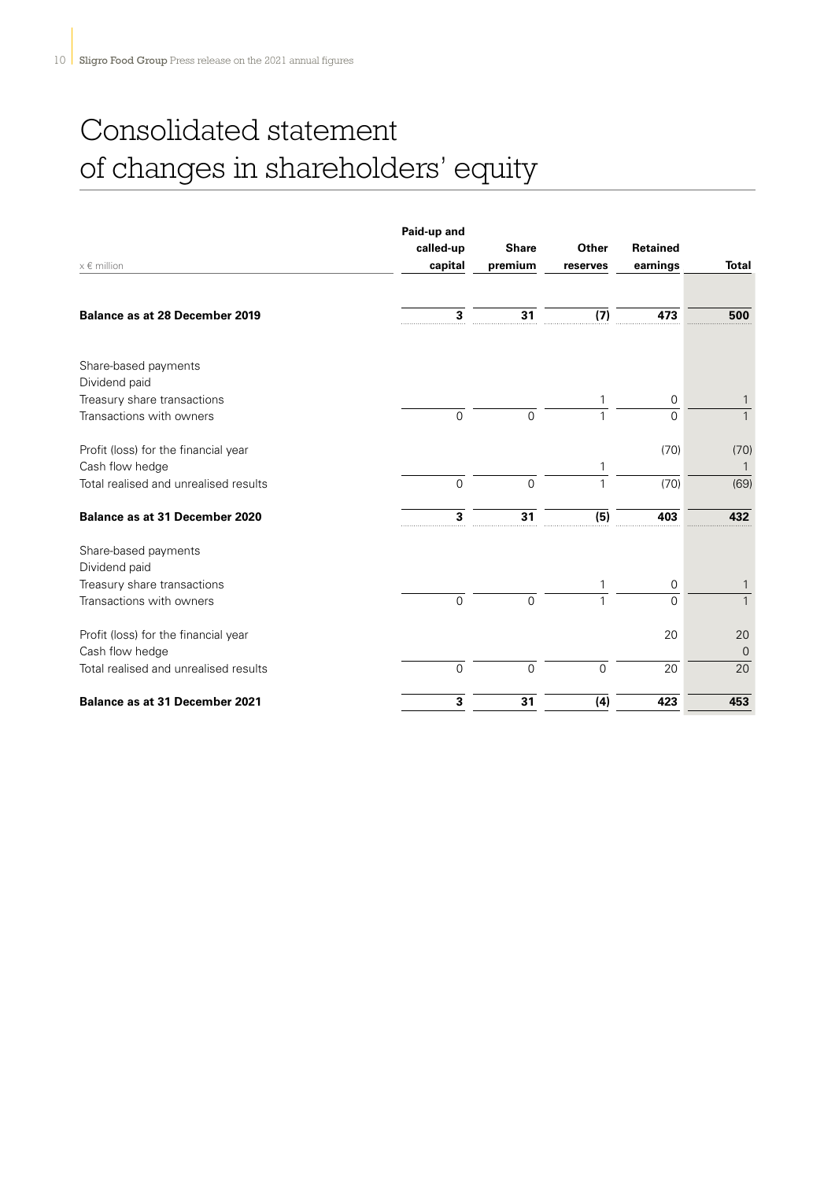# Consolidated statement of changes in shareholders' equity

| $x \in$ million                                         | Paid-up and<br>called-up<br>capital | <b>Share</b><br>premium | Other<br>reserves | Retained<br>earnings    | <b>Total</b>      |
|---------------------------------------------------------|-------------------------------------|-------------------------|-------------------|-------------------------|-------------------|
|                                                         |                                     |                         |                   |                         |                   |
| <b>Balance as at 28 December 2019</b>                   | 3                                   | 31                      | (7)               | 473                     | 500               |
| Share-based payments                                    |                                     |                         |                   |                         |                   |
| Dividend paid                                           |                                     |                         |                   |                         |                   |
| Treasury share transactions<br>Transactions with owners | $\mathbf 0$                         | $\mathbf 0$             | 1                 | $\mathbf 0$<br>$\Omega$ | 1<br>$\mathbf{1}$ |
|                                                         |                                     |                         |                   |                         |                   |
| Profit (loss) for the financial year                    |                                     |                         |                   | (70)                    | (70)              |
| Cash flow hedge                                         |                                     |                         |                   |                         |                   |
| Total realised and unrealised results                   | 0                                   | $\overline{0}$          | 1                 | (70)                    | (69)              |
| <b>Balance as at 31 December 2020</b>                   | 3                                   | 31                      | (5)               | 403                     | 432               |
| Share-based payments<br>Dividend paid                   |                                     |                         |                   |                         |                   |
| Treasury share transactions                             |                                     |                         |                   | $\mathbf 0$             |                   |
| Transactions with owners                                | $\mathsf{O}\xspace$                 | $\mathbf 0$             |                   | $\Omega$                | $\mathbf{1}$      |
| Profit (loss) for the financial year                    |                                     |                         |                   | 20                      | 20                |
| Cash flow hedge                                         |                                     |                         |                   |                         | $\Omega$          |
| Total realised and unrealised results                   | $\overline{0}$                      | $\overline{0}$          | $\overline{0}$    | 20                      | 20                |
| <b>Balance as at 31 December 2021</b>                   | 3                                   | 31                      | (4)               | 423                     | 453               |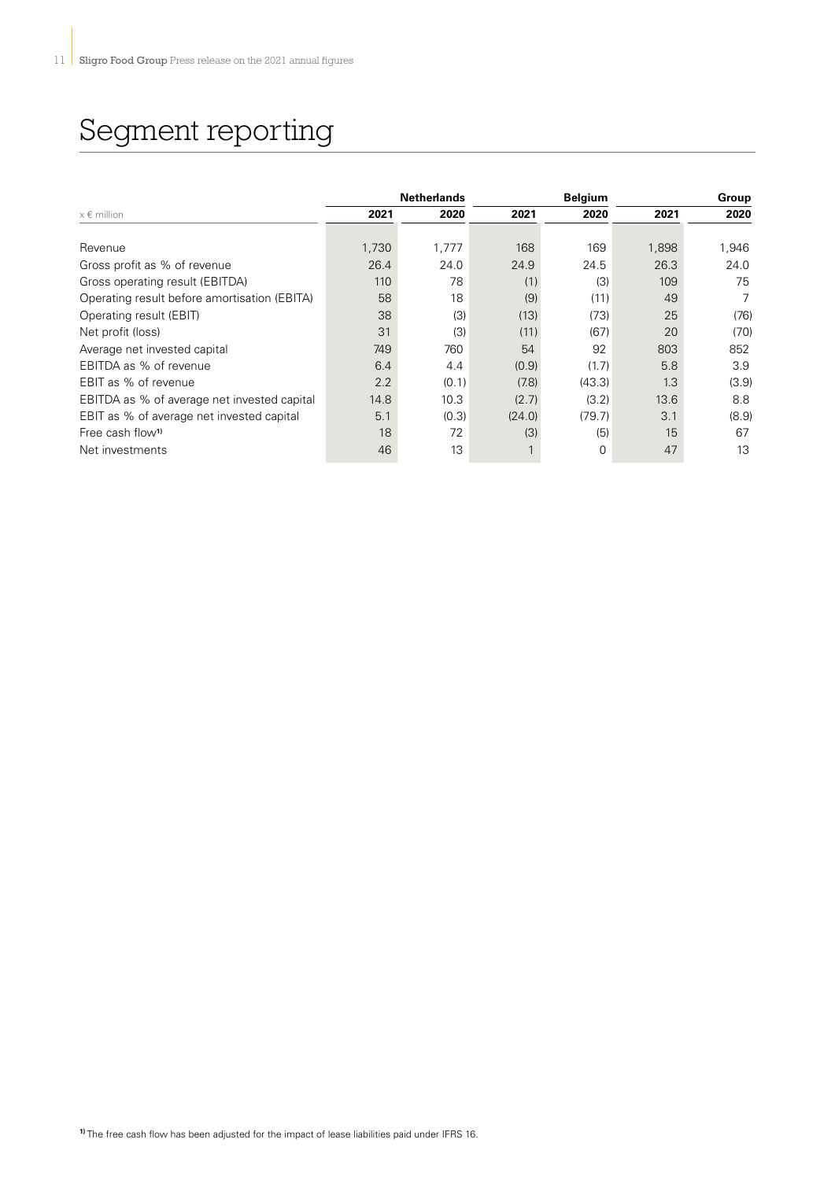### Segment reporting

|                                              |       | <b>Netherlands</b> |        | <b>Belgium</b> |       | <b>Group</b> |
|----------------------------------------------|-------|--------------------|--------|----------------|-------|--------------|
| $x \in$ million                              | 2021  | 2020               | 2021   | 2020           | 2021  | 2020         |
|                                              |       |                    |        |                |       |              |
| Revenue                                      | 1,730 | 1,777              | 168    | 169            | 1,898 | 1,946        |
| Gross profit as % of revenue                 | 26.4  | 24.0               | 24.9   | 24.5           | 26.3  | 24.0         |
| Gross operating result (EBITDA)              | 110   | 78                 | (1)    | (3)            | 109   | 75           |
| Operating result before amortisation (EBITA) | 58    | 18                 | (9)    | (11)           | 49    | 7            |
| Operating result (EBIT)                      | 38    | (3)                | (13)   | (73)           | 25    | (76)         |
| Net profit (loss)                            | 31    | (3)                | (11)   | (67)           | 20    | (70)         |
| Average net invested capital                 | 749   | 760                | 54     | 92             | 803   | 852          |
| EBITDA as % of revenue                       | 6.4   | 4.4                | (0.9)  | (1.7)          | 5.8   | 3.9          |
| EBIT as % of revenue                         | 2.2   | (0.1)              | (7.8)  | (43.3)         | 1.3   | (3.9)        |
| EBITDA as % of average net invested capital  | 14.8  | 10.3               | (2.7)  | (3.2)          | 13.6  | 8.8          |
| EBIT as % of average net invested capital    | 5.1   | (0.3)              | (24.0) | (79.7)         | 3.1   | (8.9)        |
| Free cash flow <sup>1)</sup>                 | 18    | 72                 | (3)    | (5)            | 15    | 67           |
| Net investments                              | 46    | 13                 | 1      | 0              | 47    | 13           |